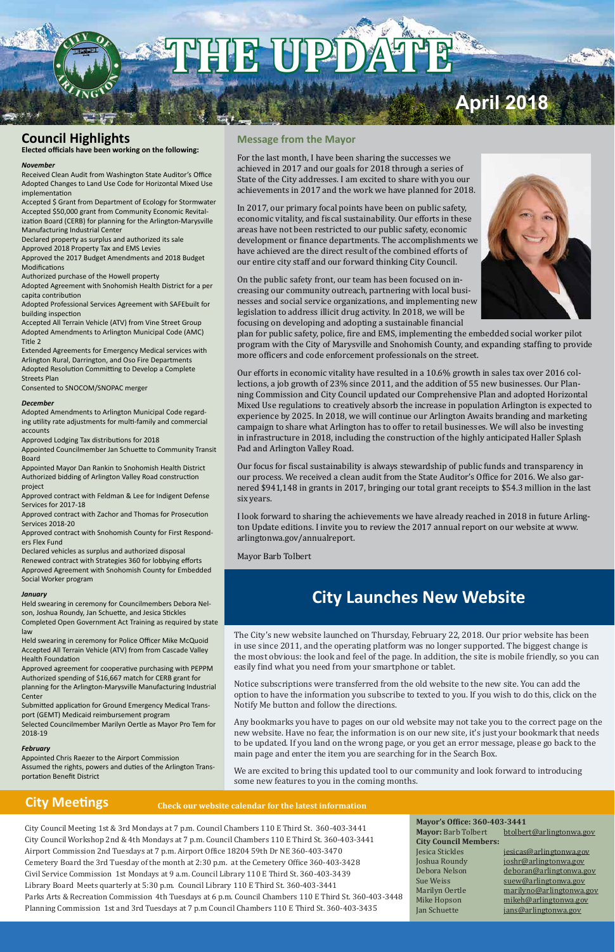City Council Meeting 1st & 3rd Mondays at 7 p.m. Council Chambers 110 E Third St. 360-403-3441 City Council Workshop 2nd & 4th Mondays at 7 p.m. Council Chambers 110 E Third St. 360-403-3441 Airport Commission 2nd Tuesdays at 7 p.m. Airport Office 18204 59th Dr NE 360-403-3470 Cemetery Board the 3rd Tuesday of the month at 2:30 p.m. at the Cemetery Office 360-403-3428 Civil Service Commission 1st Mondays at 9 a.m. Council Library 110 E Third St. 360-403-3439 Library Board Meets quarterly at 5:30 p.m. Council Library 110 E Third St. 360-403-3441 Parks Arts & Recreation Commission 4th Tuesdays at 6 p.m. Council Chambers 110 E Third St. 360-403-3448 Planning Commission 1st and 3rd Tuesdays at 7 p.m Council Chambers 110 E Third St. 360-403-3435

Mayor: Barb Tolbert btolbert@arlingtonwa.gov **City Council Members:**

Jesica Stickles jesicas@arlingtonwa.gov Joshua Roundy joshr@arlingtonwa.gov Debora Nelson deboran@arlingtonwa.gov<br>Sue Weiss suew@arlingtonwa.gov Sue Weiss suew@arlingtonwa.gov<br>Marilyn Oertle marilyno@arlingtonwa. Marilyn Oertle marilyno@arlingtonwa.gov<br>Mike Hopson mikeh@arlingtonwa.gov Mike Hopson mikeh@arlingtonwa.gov<br>Jan Schuette jans@arlingtonwa.gov jans@arlingtonwa.gov

### **City Meetings**

#### **Mayor's Office: 360-403-3441**

#### **Message from the Mayor**

For the last month, I have been sharing the successes we achieved in 2017 and our goals for 2018 through a series of State of the City addresses. I am excited to share with you our achievements in 2017 and the work we have planned for 2018.

In 2017, our primary focal points have been on public safety, economic vitality, and fiscal sustainability. Our efforts in these areas have not been restricted to our public safety, economic development or finance departments. The accomplishments we have achieved are the direct result of the combined efforts of our entire city staff and our forward thinking City Council.

On the public safety front, our team has been focused on increasing our community outreach, partnering with local businesses and social service organizations, and implementing new legislation to address illicit drug activity. In 2018, we will be focusing on developing and adopting a sustainable financial



plan for public safety, police, fire and EMS, implementing the embedded social worker pilot program with the City of Marysville and Snohomish County, and expanding staffing to provide more officers and code enforcement professionals on the street.

Our efforts in economic vitality have resulted in a 10.6% growth in sales tax over 2016 collections, a job growth of 23% since 2011, and the addition of 55 new businesses. Our Planning Commission and City Council updated our Comprehensive Plan and adopted Horizontal Mixed Use regulations to creatively absorb the increase in population Arlington is expected to experience by 2025. In 2018, we will continue our Arlington Awaits branding and marketing campaign to share what Arlington has to offer to retail businesses. We will also be investing in infrastructure in 2018, including the construction of the highly anticipated Haller Splash Pad and Arlington Valley Road.

Our focus for fiscal sustainability is always stewardship of public funds and transparency in our process. We received a clean audit from the State Auditor's Office for 2016. We also garnered \$941,148 in grants in 2017, bringing our total grant receipts to \$54.3 million in the last six years.

I look forward to sharing the achievements we have already reached in 2018 in future Arlington Update editions. I invite you to review the 2017 annual report on our website at www. arlingtonwa.gov/annualreport.

Mayor Barb Tolbert

### **Council Highlights**

**Elected officials have been working on the following:**

#### *November*

Received Clean Audit from Washington State Auditor's Office Adopted Changes to Land Use Code for Horizontal Mixed Use implementation

Accepted \$ Grant from Department of Ecology for Stormwater Accepted \$50,000 grant from Community Economic Revitalization Board (CERB) for planning for the Arlington-Marysville Manufacturing Industrial Center

Declared property as surplus and authorized its sale Approved 2018 Property Tax and EMS Levies

Approved the 2017 Budget Amendments and 2018 Budget Modifications

Authorized purchase of the Howell property

Adopted Agreement with Snohomish Health District for a per capita contribution

Adopted Professional Services Agreement with SAFEbuilt for building inspection

Accepted All Terrain Vehicle (ATV) from Vine Street Group Adopted Amendments to Arlington Municipal Code (AMC) Title 2

Extended Agreements for Emergency Medical services with Arlington Rural, Darrington, and Oso Fire Departments Adopted Resolution Committing to Develop a Complete Streets Plan

Consented to SNOCOM/SNOPAC merger

#### *December*

Adopted Amendments to Arlington Municipal Code regarding utility rate adjustments for multi-family and commercial accounts

Approved Lodging Tax distributions for 2018

Appointed Councilmember Jan Schuette to Community Transit Board

Appointed Mayor Dan Rankin to Snohomish Health District Authorized bidding of Arlington Valley Road construction project

Approved contract with Feldman & Lee for Indigent Defense Services for 2017-18

Approved contract with Zachor and Thomas for Prosecution Services 2018-20

Approved contract with Snohomish County for First Responders Flex Fund

Declared vehicles as surplus and authorized disposal Renewed contract with Strategies 360 for lobbying efforts Approved Agreement with Snohomish County for Embedded Social Worker program

#### *January*

Held swearing in ceremony for Councilmembers Debora Nelson, Joshua Roundy, Jan Schuette, and Jesica Stickles Completed Open Government Act Training as required by state law

Held swearing in ceremony for Police Officer Mike McQuoid Accepted All Terrain Vehicle (ATV) from from Cascade Valley Health Foundation

Approved agreement for cooperative purchasing with PEPPM Authorized spending of \$16,667 match for CERB grant for planning for the Arlington-Marysville Manufacturing Industrial Center

Submitted application for Ground Emergency Medical Transport (GEMT) Medicaid reimbursement program Selected Councilmember Marilyn Oertle as Mayor Pro Tem for

2018-19

#### *February*

Appointed Chris Raezer to the Airport Commission Assumed the rights, powers and duties of the Arlington Transportation Benefit District

#### **Check our website calendar for the latest information**

### **City Launches New Website**

The City's new website launched on Thursday, February 22, 2018. Our prior website has been in use since 2011, and the operating platform was no longer supported. The biggest change is the most obvious: the look and feel of the page. In addition, the site is mobile friendly, so you can easily find what you need from your smartphone or tablet.

Notice subscriptions were transferred from the old website to the new site. You can add the option to have the information you subscribe to texted to you. If you wish to do this, click on the Notify Me button and follow the directions.

Any bookmarks you have to pages on our old website may not take you to the correct page on the new website. Have no fear, the information is on our new site, it's just your bookmark that needs to be updated. If you land on the wrong page, or you get an error message, please go back to the main page and enter the item you are searching for in the Search Box.

We are excited to bring this updated tool to our community and look forward to introducing some new features to you in the coming months.

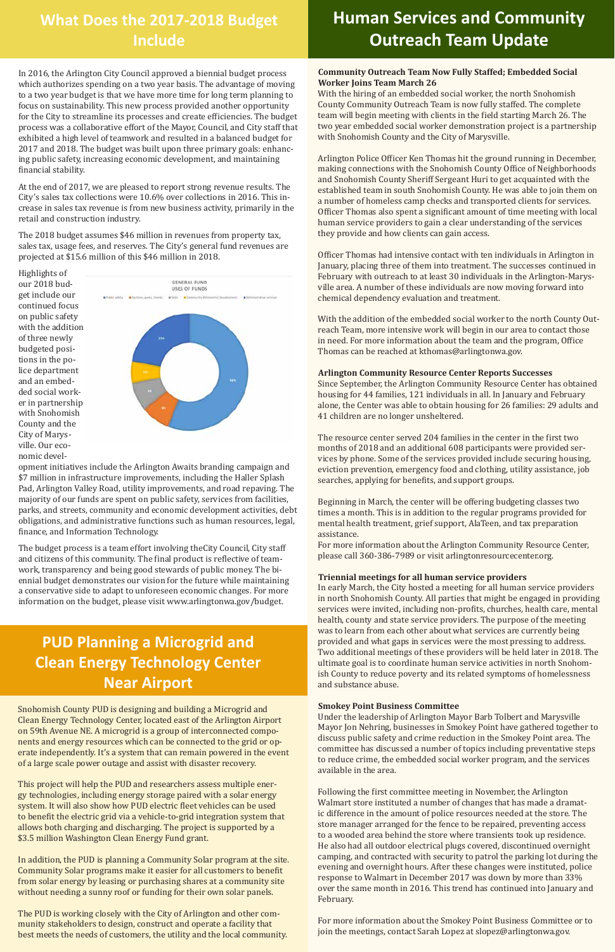#### **Community Outreach Team Now Fully Staffed; Embedded Social Worker Joins Team March 26**

With the hiring of an embedded social worker, the north Snohomish County Community Outreach Team is now fully staffed. The complete team will begin meeting with clients in the field starting March 26. The two year embedded social worker demonstration project is a partnership with Snohomish County and the City of Marysville.

Arlington Police Officer Ken Thomas hit the ground running in December, making connections with the Snohomish County Office of Neighborhoods and Snohomish County Sheriff Sergeant Huri to get acquainted with the established team in south Snohomish County. He was able to join them on a number of homeless camp checks and transported clients for services. Officer Thomas also spent a significant amount of time meeting with local human service providers to gain a clear understanding of the services they provide and how clients can gain access.

Officer Thomas had intensive contact with ten individuals in Arlington in January, placing three of them into treatment. The successes continued in February with outreach to at least 30 individuals in the Arlington-Marysville area. A number of these individuals are now moving forward into chemical dependency evaluation and treatment.

With the addition of the embedded social worker to the north County Outreach Team, more intensive work will begin in our area to contact those in need. For more information about the team and the program, Office Thomas can be reached at kthomas@arlingtonwa.gov.

#### **Arlington Community Resource Center Reports Successes**

Since September, the Arlington Community Resource Center has obtained housing for 44 families, 121 individuals in all. In January and February alone, the Center was able to obtain housing for 26 families: 29 adults and 41 children are no longer unsheltered.

The resource center served 204 families in the center in the first two months of 2018 and an additional 608 participants were provided services by phone. Some of the services provided include securing housing, eviction prevention, emergency food and clothing, utility assistance, job searches, applying for benefits, and support groups.

Beginning in March, the center will be offering budgeting classes two times a month. This is in addition to the regular programs provided for mental health treatment, grief support, AlaTeen, and tax preparation assistance.

For more information about the Arlington Community Resource Center, please call 360-386-7989 or visit arlingtonresourcecenter.org.

#### **Triennial meetings for all human service providers**

In early March, the City hosted a meeting for all human service providers in north Snohomish County. All parties that might be engaged in providing services were invited, including non-profits, churches, health care, mental health, county and state service providers. The purpose of the meeting was to learn from each other about what services are currently being provided and what gaps in services were the most pressing to address. Two additional meetings of these providers will be held later in 2018. The ultimate goal is to coordinate human service activities in north Snohomish County to reduce poverty and its related symptoms of homelessness and substance abuse.

#### **Smokey Point Business Committee**

Under the leadership of Arlington Mayor Barb Tolbert and Marysville Mayor Jon Nehring, businesses in Smokey Point have gathered together to

discuss public safety and crime reduction in the Smokey Point area. The committee has discussed a number of topics including preventative steps to reduce crime, the embedded social worker program, and the services available in the area.

This project will help the PUD and researchers assess multiple energy technologies, including energy storage paired with a solar energy system. It will also show how PUD electric fleet vehicles can be used to benefit the electric grid via a vehicle-to-grid integration system that allows both charging and discharging. The project is supported by a \$3.5 million Washington Clean Energy Fund grant.

Following the first committee meeting in November, the Arlington Walmart store instituted a number of changes that has made a dramatic difference in the amount of police resources needed at the store. The store manager arranged for the fence to be repaired, preventing access to a wooded area behind the store where transients took up residence. He also had all outdoor electrical plugs covered, discontinued overnight camping, and contracted with security to patrol the parking lot during the evening and overnight hours. After these changes were instituted, police response to Walmart in December 2017 was down by more than 33% over the same month in 2016. This trend has continued into January and February.

For more information about the Smokey Point Business Committee or to join the meetings, contact Sarah Lopez at slopez@arlingtonwa.gov.

## **Human Services and Community Outreach Team Update**

### **What Does the 2017-2018 Budget Include**

In 2016, the Arlington City Council approved a biennial budget process which authorizes spending on a two year basis. The advantage of moving to a two year budget is that we have more time for long term planning to focus on sustainability. This new process provided another opportunity for the City to streamline its processes and create efficiencies. The budget process was a collaborative effort of the Mayor, Council, and City staff that exhibited a high level of teamwork and resulted in a balanced budget for 2017 and 2018. The budget was built upon three primary goals: enhancing public safety, increasing economic development, and maintaining financial stability.

At the end of 2017, we are pleased to report strong revenue results. The City's sales tax collections were 10.6% over collections in 2016. This increase in sales tax revenue is from new business activity, primarily in the retail and construction industry.

The 2018 budget assumes \$46 million in revenues from property tax, sales tax, usage fees, and reserves. The City's general fund revenues are projected at \$15.6 million of this \$46 million in 2018.

Highlights of our 2018 budget include our continued focus on public safety with the addition of three newly budgeted positions in the police department and an embedded social worker in partnership with Snohomish County and the City of Marysville. Our economic devel-



opment initiatives include the Arlington Awaits branding campaign and \$7 million in infrastructure improvements, including the Haller Splash Pad, Arlington Valley Road, utility improvements, and road repaving. The majority of our funds are spent on public safety, services from facilities, parks, and streets, community and economic development activities, debt obligations, and administrative functions such as human resources, legal, finance, and Information Technology.

The budget process is a team effort involving theCity Council, City staff and citizens of this community. The final product is reflective of teamwork, transparency and being good stewards of public money. The biennial budget demonstrates our vision for the future while maintaining a conservative side to adapt to unforeseen economic changes. For more information on the budget, please visit www.arlingtonwa.gov/budget.

Snohomish County PUD is designing and building a Microgrid and Clean Energy Technology Center, located east of the Arlington Airport on 59th Avenue NE. A microgrid is a group of interconnected components and energy resources which can be connected to the grid or operate independently. It's a system that can remain powered in the event of a large scale power outage and assist with disaster recovery.

In addition, the PUD is planning a Community Solar program at the site. Community Solar programs make it easier for all customers to benefit from solar energy by leasing or purchasing shares at a community site without needing a sunny roof or funding for their own solar panels.

The PUD is working closely with the City of Arlington and other community stakeholders to design, construct and operate a facility that best meets the needs of customers, the utility and the local community.

### **PUD Planning a Microgrid and Clean Energy Technology Center Near Airport**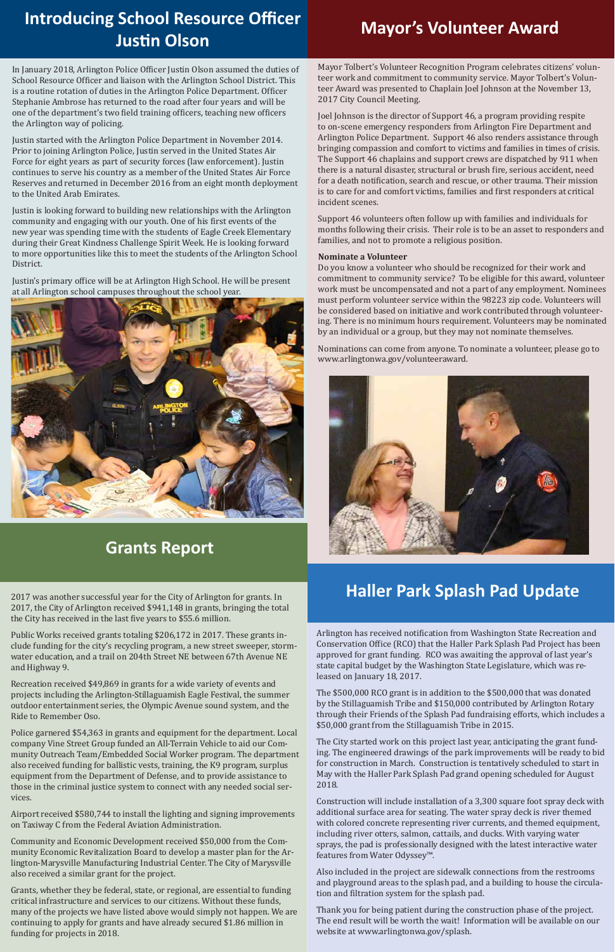### **Grants Report**

Mayor Tolbert's Volunteer Recognition Program celebrates citizens' volunteer work and commitment to community service. Mayor Tolbert's Volunteer Award was presented to Chaplain Joel Johnson at the November 13, 2017 City Council Meeting.

Joel Johnson is the director of Support 46, a program providing respite to on-scene emergency responders from Arlington Fire Department and Arlington Police Department. Support 46 also renders assistance through bringing compassion and comfort to victims and families in times of crisis. The Support 46 chaplains and support crews are dispatched by 911 when there is a natural disaster, structural or brush fire, serious accident, need for a death notification, search and rescue, or other trauma. Their mission is to care for and comfort victims, families and first responders at critical incident scenes.

Support 46 volunteers often follow up with families and individuals for months following their crisis. Their role is to be an asset to responders and families, and not to promote a religious position.

#### **Nominate a Volunteer**

Do you know a volunteer who should be recognized for their work and commitment to community service? To be eligible for this award, volunteer work must be uncompensated and not a part of any employment. Nominees must perform volunteer service within the 98223 zip code. Volunteers will be considered based on initiative and work contributed through volunteering. There is no minimum hours requirement. Volunteers may be nominated by an individual or a group, but they may not nominate themselves.

Nominations can come from anyone. To nominate a volunteer, please go to www.arlingtonwa.gov/volunteeraward.



## **Mayor's Volunteer Award Introducing School Resource Officer Justin Olson**

In January 2018, Arlington Police Officer Justin Olson assumed the duties of School Resource Officer and liaison with the Arlington School District. This is a routine rotation of duties in the Arlington Police Department. Officer Stephanie Ambrose has returned to the road after four years and will be one of the department's two field training officers, teaching new officers the Arlington way of policing.

Justin started with the Arlington Police Department in November 2014. Prior to joining Arlington Police, Justin served in the United States Air Force for eight years as part of security forces (law enforcement). Justin continues to serve his country as a member of the United States Air Force Reserves and returned in December 2016 from an eight month deployment to the United Arab Emirates.

Justin is looking forward to building new relationships with the Arlington community and engaging with our youth. One of his first events of the new year was spending time with the students of Eagle Creek Elementary during their Great Kindness Challenge Spirit Week. He is looking forward to more opportunities like this to meet the students of the Arlington School District.

Justin's primary office will be at Arlington High School. He will be present at all Arlington school campuses throughout the school year.



### **Haller Park Splash Pad Update**

Arlington has received notification from Washington State Recreation and Conservation Office (RCO) that the Haller Park Splash Pad Project has been approved for grant funding. RCO was awaiting the approval of last year's state capital budget by the Washington State Legislature, which was released on January 18, 2017.

The \$500,000 RCO grant is in addition to the \$500,000 that was donated by the Stillaguamish Tribe and \$150,000 contributed by Arlington Rotary through their Friends of the Splash Pad fundraising efforts, which includes a \$50,000 grant from the Stillaguamish Tribe in 2015.

The City started work on this project last year, anticipating the grant funding. The engineered drawings of the park improvements will be ready to bid for construction in March. Construction is tentatively scheduled to start in May with the Haller Park Splash Pad grand opening scheduled for August 2018.

Construction will include installation of a 3,300 square foot spray deck with additional surface area for seating. The water spray deck is river themed with colored concrete representing river currents, and themed equipment, including river otters, salmon, cattails, and ducks. With varying water sprays, the pad is professionally designed with the latest interactive water features from Water Odyssey™.

Also included in the project are sidewalk connections from the restrooms and playground areas to the splash pad, and a building to house the circulation and filtration system for the splash pad.

Thank you for being patient during the construction phase of the project. The end result will be worth the wait! Information will be available on our website at www.arlingtonwa.gov/splash.

2017 was another successful year for the City of Arlington for grants. In 2017, the City of Arlington received \$941,148 in grants, bringing the total the City has received in the last five years to \$55.6 million.

Public Works received grants totaling \$206,172 in 2017. These grants include funding for the city's recycling program, a new street sweeper, stormwater education, and a trail on 204th Street NE between 67th Avenue NE and Highway 9.

Recreation received \$49,869 in grants for a wide variety of events and projects including the Arlington-Stillaguamish Eagle Festival, the summer outdoor entertainment series, the Olympic Avenue sound system, and the Ride to Remember Oso.

Police garnered \$54,363 in grants and equipment for the department. Local company Vine Street Group funded an All-Terrain Vehicle to aid our Community Outreach Team/Embedded Social Worker program. The department also received funding for ballistic vests, training, the K9 program, surplus equipment from the Department of Defense, and to provide assistance to those in the criminal justice system to connect with any needed social services.

Airport received \$580,744 to install the lighting and signing improvements on Taxiway C from the Federal Aviation Administration.

Community and Economic Development received \$50,000 from the Community Economic Revitalization Board to develop a master plan for the Arlington-Marysville Manufacturing Industrial Center. The City of Marysville also received a similar grant for the project.

Grants, whether they be federal, state, or regional, are essential to funding critical infrastructure and services to our citizens. Without these funds, many of the projects we have listed above would simply not happen. We are continuing to apply for grants and have already secured \$1.86 million in funding for projects in 2018.